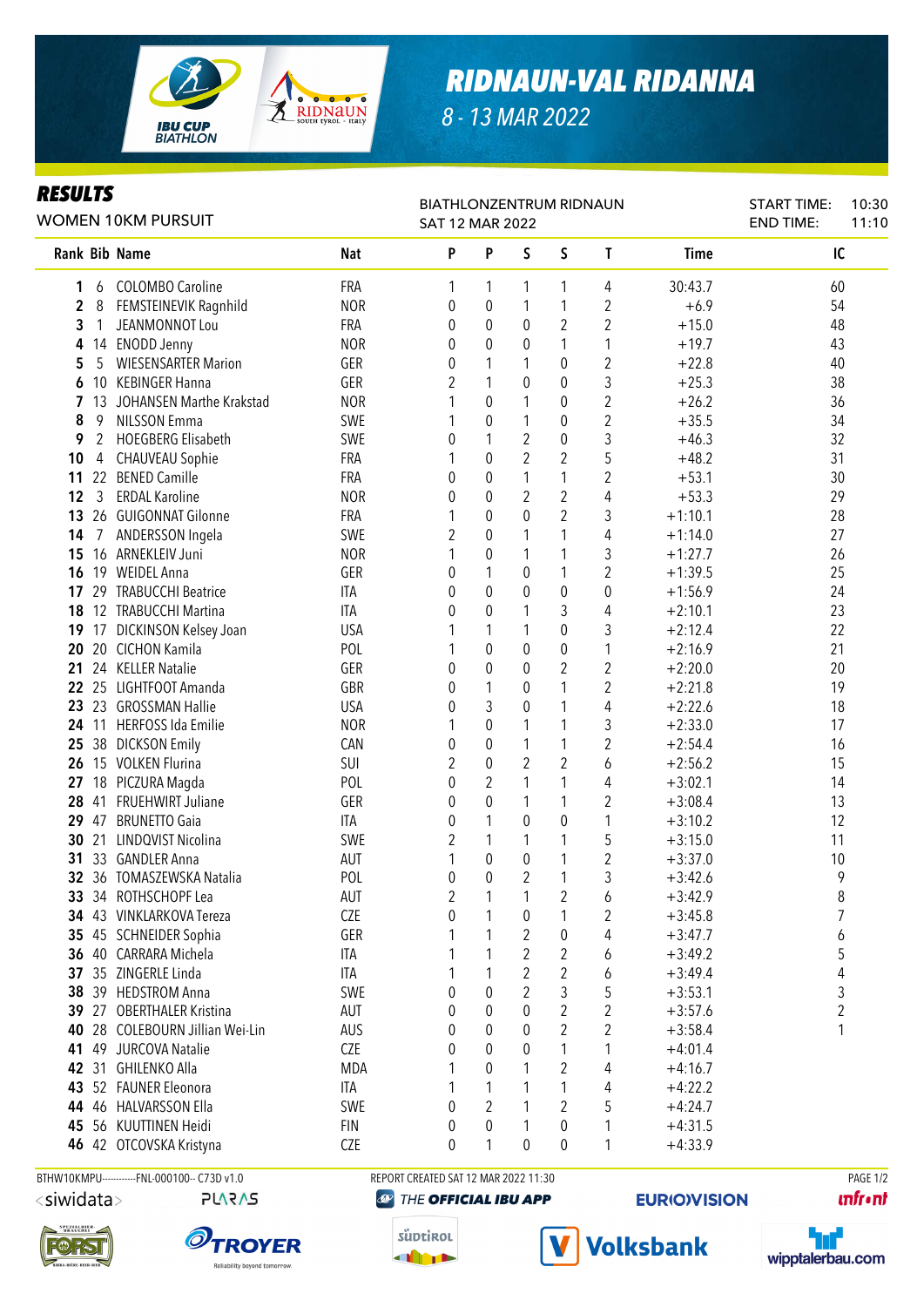

## *RIDNAUN-VAL RIDANNA*

*8 - 13 MAR 2022*

#### *RESULTS*

| nlj vl i j<br>WOMEN 10KM PURSUIT |    |                                 |            | <b>BIATHLONZENTRUM RIDNAUN</b><br>SAT 12 MAR 2022 | <b>START TIME:</b><br><b>END TIME:</b> | 10:30<br>11:10 |                |                         |             |    |  |
|----------------------------------|----|---------------------------------|------------|---------------------------------------------------|----------------------------------------|----------------|----------------|-------------------------|-------------|----|--|
|                                  |    | <b>Rank Bib Name</b>            | <b>Nat</b> | P                                                 | P                                      | S              | S              | $\mathbf{T}$            | <b>Time</b> | IC |  |
| 1                                | 6  | <b>COLOMBO Caroline</b>         | FRA        | 1                                                 | 1                                      | 1              | 1              | 4                       | 30:43.7     | 60 |  |
| $\mathbf 2$                      | 8  | FEMSTEINEVIK Ragnhild           | <b>NOR</b> | 0                                                 | $\boldsymbol{0}$                       | 1              | 1              | 2                       | $+6.9$      | 54 |  |
| 3                                | 1  | JEANMONNOT Lou                  | FRA        | 0                                                 | 0                                      | 0              | $\overline{2}$ | $\overline{2}$          | $+15.0$     | 48 |  |
| 4                                |    | 14 ENODD Jenny                  | <b>NOR</b> | 0                                                 | 0                                      | 0              | 1              | 1                       | $+19.7$     | 43 |  |
| 5                                | 5  | <b>WIESENSARTER Marion</b>      | GER        | 0                                                 | 1                                      | 1              | 0              | $\overline{2}$          | $+22.8$     | 40 |  |
| 6                                | 10 | <b>KEBINGER Hanna</b>           | GER        | $\overline{2}$                                    | 1                                      | 0              | 0              | 3                       | $+25.3$     | 38 |  |
| 7                                | 13 | JOHANSEN Marthe Krakstad        | <b>NOR</b> |                                                   | $\pmb{0}$                              | 1              | $\pmb{0}$      | $\overline{2}$          | $+26.2$     | 36 |  |
| 8                                | 9  | <b>NILSSON Emma</b>             | SWE        |                                                   | $\pmb{0}$                              | 1              | $\pmb{0}$      | $\overline{c}$          | $+35.5$     | 34 |  |
| 9                                | 2  | <b>HOEGBERG Elisabeth</b>       | SWE        | 0                                                 | 1                                      | $\overline{2}$ | $\pmb{0}$      | 3                       | $+46.3$     | 32 |  |
| 10                               | 4  | <b>CHAUVEAU Sophie</b>          | FRA        | 1                                                 | $\pmb{0}$                              | $\overline{2}$ | $\overline{2}$ | 5                       | $+48.2$     | 31 |  |
| 11                               |    | 22 BENED Camille                | FRA        | 0                                                 | $\pmb{0}$                              | $\mathbf{1}$   | 1              | $\overline{c}$          | $+53.1$     | 30 |  |
| 12                               | 3  | <b>ERDAL Karoline</b>           | <b>NOR</b> | 0                                                 | $\mathbf 0$                            | $\overline{c}$ | $\overline{2}$ | 4                       | $+53.3$     | 29 |  |
| 13                               |    | 26 GUIGONNAT Gilonne            | FRA        |                                                   | 0                                      | $\mathbf 0$    | $\overline{2}$ | 3                       | $+1:10.1$   | 28 |  |
| 14                               |    | ANDERSSON Ingela                | SWE        | 2                                                 | 0                                      | 1              | 1              | 4                       | $+1:14.0$   | 27 |  |
| 15                               |    | 16 ARNEKLEIV Juni               | <b>NOR</b> | 1                                                 | 0                                      | 1              | 1              | 3                       | $+1:27.7$   | 26 |  |
| 16                               |    | 19 WEIDEL Anna                  | GER        | 0                                                 | 1                                      | 0              | 1              | $\overline{2}$          | $+1:39.5$   | 25 |  |
| 17                               |    | 29 TRABUCCHI Beatrice           | ITA        | 0                                                 | 0                                      | $\mathbf 0$    | $\pmb{0}$      | $\boldsymbol{0}$        | $+1:56.9$   | 24 |  |
| 18                               |    | 12 TRABUCCHI Martina            | <b>ITA</b> | 0                                                 | 0                                      | 1              | 3              | 4                       | $+2:10.1$   | 23 |  |
| 19                               |    | 17 DICKINSON Kelsey Joan        | <b>USA</b> |                                                   | 1                                      | 1              | $\pmb{0}$      | 3                       | $+2:12.4$   | 22 |  |
| 20                               |    | 20 CICHON Kamila                | POL        |                                                   | 0                                      | 0              | $\pmb{0}$      | 1                       | $+2:16.9$   | 21 |  |
| 21                               |    | 24 KELLER Natalie               | GER        | 0                                                 | 0                                      | 0              | $\overline{2}$ | $\overline{2}$          | $+2:20.0$   | 20 |  |
| 22                               |    | 25 LIGHTFOOT Amanda             | GBR        | 0                                                 | 1                                      | 0              | 1              | $\overline{c}$          | $+2:21.8$   | 19 |  |
| 23                               |    | 23 GROSSMAN Hallie              | <b>USA</b> | 0                                                 | 3                                      | 0              | 1              | 4                       | $+2:22.6$   | 18 |  |
| 24                               |    | 11 HERFOSS Ida Emilie           | <b>NOR</b> | 1                                                 | 0                                      | 1              | 1              | 3                       | $+2:33.0$   | 17 |  |
| 25                               |    | 38 DICKSON Emily                | CAN        | 0                                                 | 0                                      | 1              | 1              | $\overline{2}$          | $+2:54.4$   | 16 |  |
| 26                               |    | 15 VOLKEN Flurina               | SUI        | $\overline{2}$                                    | $\pmb{0}$                              | 2              | 2              | 6                       | $+2:56.2$   | 15 |  |
| 27                               |    | 18 PICZURA Magda                | POL        | 0                                                 | 2                                      | 1              | 1              | 4                       | $+3:02.1$   | 14 |  |
| 28                               |    | 41 FRUEHWIRT Juliane            | GER        | 0                                                 | 0                                      | 1              | 1              | $\overline{\mathbf{c}}$ | $+3:08.4$   | 13 |  |
| 29                               |    | 47 BRUNETTO Gaia                | <b>ITA</b> | 0                                                 | 1                                      | 0              | $\pmb{0}$      | 1                       | $+3:10.2$   | 12 |  |
| 30                               | 21 | LINDQVIST Nicolina              | SWE        | 2                                                 | 1                                      | 1              | 1              | 5                       | $+3:15.0$   | 11 |  |
| 31                               |    | 33 GANDLER Anna                 | AUT        | 1                                                 | $\pmb{0}$                              | 0              | 1              | $\overline{2}$          | $+3:37.0$   | 10 |  |
|                                  |    | 32 36 TOMASZEWSKA Natalia       | POL        | 0                                                 | $\pmb{0}$                              | $\overline{2}$ | 1              | 3                       | $+3:42.6$   | 9  |  |
|                                  |    | 33 34 ROTHSCHOPF Lea            | AUT        | 2                                                 | $\overline{ }$                         | $\overline{ }$ | $\overline{c}$ | 6                       | $+3:42.9$   | 8  |  |
|                                  |    | 34 43 VINKLARKOVA Tereza        | <b>CZE</b> | 0                                                 | 1                                      | 0              | 1              | 2                       | $+3:45.8$   | 7  |  |
|                                  |    | 35 45 SCHNEIDER Sophia          | GER        |                                                   | 1                                      | 2              | 0              | 4                       | $+3:47.7$   | 6  |  |
|                                  |    | 36 40 CARRARA Michela           | ITA        |                                                   | 1                                      | 2              | $\overline{2}$ | 6                       | $+3:49.2$   | 5  |  |
|                                  |    | 37 35 ZINGERLE Linda            | ITA        |                                                   |                                        | 2              | $\overline{2}$ | 6                       | $+3:49.4$   | 4  |  |
|                                  |    | 38 39 HEDSTROM Anna             | SWE        | 0                                                 | 0                                      | 2              | 3              | 5                       | $+3:53.1$   | 3  |  |
|                                  |    | 39 27 OBERTHALER Kristina       | AUT        | 0                                                 | 0                                      | 0              | $\overline{2}$ | 2                       | $+3:57.6$   | 2  |  |
|                                  |    | 40 28 COLEBOURN Jillian Wei-Lin | AUS        | 0                                                 | 0                                      | 0              | $\overline{2}$ | 2                       | $+3:58.4$   | 1  |  |
| 41                               |    | 49 JURCOVA Natalie              | CZE        | 0                                                 | 0                                      | 0              | 1              | 1                       | $+4:01.4$   |    |  |
|                                  |    | 42 31 GHILENKO Alla             | <b>MDA</b> |                                                   | 0                                      |                | $\overline{2}$ | 4                       | $+4:16.7$   |    |  |
|                                  |    | 43 52 FAUNER Eleonora           | ITA        |                                                   | 1                                      |                | 1              | 4                       | $+4:22.2$   |    |  |
| 44                               |    | 46 HALVARSSON Ella              | SWE        | 0                                                 | 2                                      | 1              | 2              | 5                       | $+4:24.7$   |    |  |
|                                  |    | 45 56 KUUTTINEN Heidi           | <b>FIN</b> | 0                                                 | 0                                      | 1              | 0              | 1                       | $+4:31.5$   |    |  |
|                                  |    | 46 42 OTCOVSKA Kristyna         | CZE        | 0                                                 | 1                                      | 0              | $\pmb{0}$      | 1                       | $+4:33.9$   |    |  |

<siwidata>

```
PLARAS
```






## THE OFFICIAL IBU APP



**Volksbank** 



**unfront**